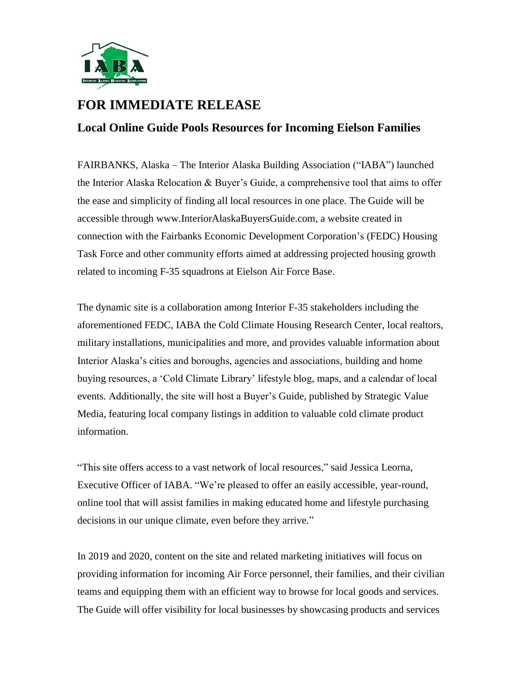

## **FOR IMMEDIATE RELEASE**

## **Local Online Guide Pools Resources for Incoming Eielson Families**

FAIRBANKS, Alaska – The Interior Alaska Building Association ("IABA") launched the Interior Alaska Relocation  $\&$  Buyer's Guide, a comprehensive tool that aims to offer the ease and simplicity of finding all local resources in one place. The Guide will be accessible through [www.InteriorAlaskaBuyersGuide.com,](http://www.interioralaskabuyersguide.com/) a website created in connection with the Fairbanks Economic Development Corporation's (FEDC) Housing Task Force and other community efforts aimed at addressing projected housing growth related to incoming F-35 squadrons at Eielson Air Force Base.

The dynamic site is a collaboration among Interior F-35 stakeholders including the aforementioned FEDC, IABA the Cold Climate Housing Research Center, local realtors, military installations, municipalities and more, and provides valuable information about Interior Alaska's cities and boroughs, agencies and associations, building and home buying resources, a 'Cold Climate Library' lifestyle blog, maps, and a calendar of local events. Additionally, the site will host a Buyer's Guide, published by Strategic Value Media, featuring local company listings in addition to valuable cold climate product information.

"This site offers access to a vast network of local resources," said Jessica Leorna, Executive Officer of IABA. "We're pleased to offer an easily accessible, year-round, online tool that will assist families in making educated home and lifestyle purchasing decisions in our unique climate, even before they arrive."

In 2019 and 2020, content on the site and related marketing initiatives will focus on providing information for incoming Air Force personnel, their families, and their civilian teams and equipping them with an efficient way to browse for local goods and services. The Guide will offer visibility for local businesses by showcasing products and services